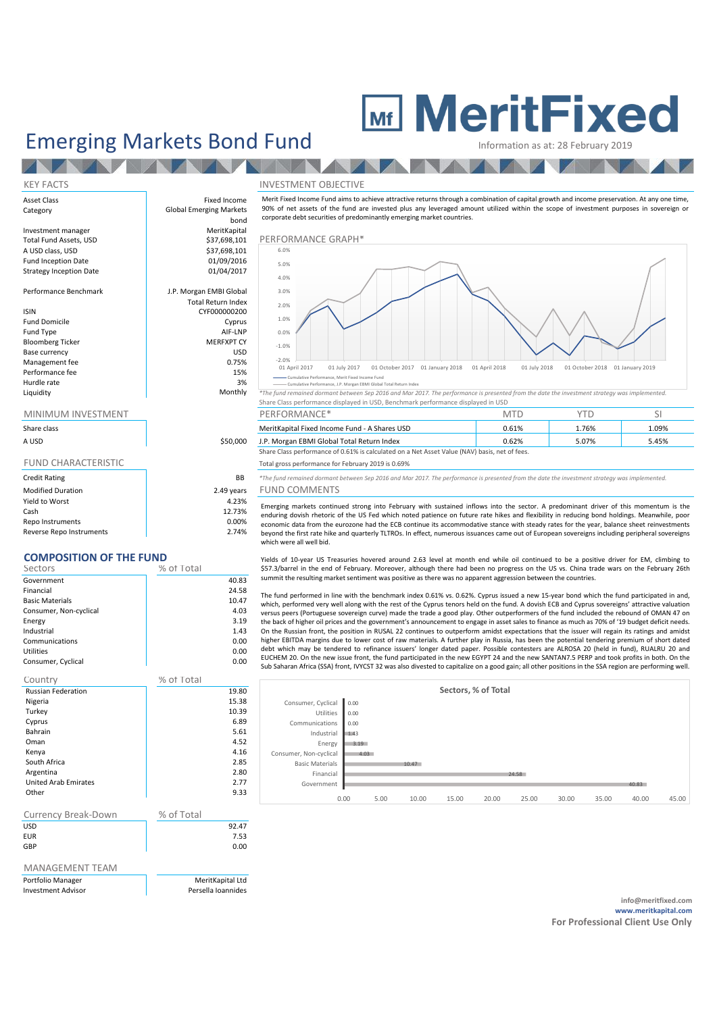# **ME MeritFixed**

## Emerging Markets Bond Fund<br>Information as at: 28 February

| <b>KEY FACTS</b>                                                                 |                                                        | <b>INVESTMENT OBJECTIVE</b>                                                                                                                                                                                                                                                                                                                 |                               |                                 |   |
|----------------------------------------------------------------------------------|--------------------------------------------------------|---------------------------------------------------------------------------------------------------------------------------------------------------------------------------------------------------------------------------------------------------------------------------------------------------------------------------------------------|-------------------------------|---------------------------------|---|
| Asset Class<br>Category                                                          | Fixed Income<br><b>Global Emerging Markets</b><br>bond | Merit Fixed Income Fund aims to achieve attractive returns through a combination of capital growth and income preservation. At any<br>90% of net assets of the fund are invested plus any leveraged amount utilized within the scope of investment purposes in sov<br>corporate debt securities of predominantly emerging market countries. |                               |                                 |   |
| Investment manager<br>Total Fund Assets, USD                                     | MeritKapital<br>\$37,698,101                           | PERFORMANCE GRAPH*                                                                                                                                                                                                                                                                                                                          |                               |                                 |   |
| A USD class, USD<br><b>Fund Inception Date</b><br><b>Strategy Inception Date</b> | \$37,698,101<br>01/09/2016<br>01/04/2017               | 6.0%<br>5.0%<br>4.0%                                                                                                                                                                                                                                                                                                                        |                               |                                 |   |
| Performance Benchmark                                                            | J.P. Morgan EMBI Global<br><b>Total Return Index</b>   | 3.0%                                                                                                                                                                                                                                                                                                                                        |                               |                                 |   |
| <b>ISIN</b>                                                                      | CYF000000200                                           | 2.0%                                                                                                                                                                                                                                                                                                                                        |                               |                                 |   |
| <b>Fund Domicile</b>                                                             | Cyprus                                                 | 1.0%                                                                                                                                                                                                                                                                                                                                        |                               |                                 |   |
| Fund Type                                                                        | AIF-LNP                                                | 0.0%                                                                                                                                                                                                                                                                                                                                        |                               |                                 |   |
| <b>Bloomberg Ticker</b>                                                          | <b>MERFXPT CY</b>                                      | $-1.0%$                                                                                                                                                                                                                                                                                                                                     |                               |                                 |   |
| Base currency                                                                    | <b>USD</b>                                             | $-2.0%$                                                                                                                                                                                                                                                                                                                                     |                               |                                 |   |
| Management fee                                                                   | 0.75%                                                  | 01 April 2017<br>01 October 2017 01 January 2018<br>01 July 2017                                                                                                                                                                                                                                                                            | 01 July 2018<br>01 April 2018 | 01 October 2018 01 January 2019 |   |
| Performance fee                                                                  | 15%                                                    | Cumulative Performance, Merit Fixed Income Fund                                                                                                                                                                                                                                                                                             |                               |                                 |   |
| Hurdle rate                                                                      | 3%                                                     | Cumulative Performance, J.P. Morgan EBMI Global Total Return Index                                                                                                                                                                                                                                                                          |                               |                                 |   |
| Liquidity                                                                        | Monthly                                                | *The fund remained dormant between Sep 2016 and Mar 2017. The performance is presented from the date the investment strategy was implemente                                                                                                                                                                                                 |                               |                                 |   |
|                                                                                  |                                                        | Share Class performance displayed in USD, Benchmark performance displayed in USD                                                                                                                                                                                                                                                            |                               |                                 |   |
| <b>MINIMUM INVESTMENT</b>                                                        |                                                        | PERFORMANCE*                                                                                                                                                                                                                                                                                                                                | <b>MTD</b>                    | <b>YTD</b>                      | S |
|                                                                                  |                                                        |                                                                                                                                                                                                                                                                                                                                             |                               |                                 |   |

| Share class |  |
|-------------|--|
|-------------|--|

**TANK** 

| A USD                      | \$50,000   |
|----------------------------|------------|
| <b>FUND CHARACTERISTIC</b> |            |
| <b>Credit Rating</b>       | ВB         |
| <b>Modified Duration</b>   | 2.49 years |
| Yield to Worst             | 4.23%      |
| Cash                       | 12.73%     |

Repo Instruments and the contract of the contract of the contract of the contract of the contract of the contract of the contract of the contract of the contract of the contract of the contract of the contract of the contr Reverse Repo Instruments 2.74%

### **COMPOSITION OF THE FUND**

| Sectors                | % of Total |
|------------------------|------------|
| Government             | 40.83      |
| Financial              | 24.58      |
| <b>Basic Materials</b> | 10.47      |
| Consumer, Non-cyclical | 4.03       |
| Energy                 | 3.19       |
| Industrial             | 1.43       |
| Communications         | 0.00       |
| <b>Utilities</b>       | 0.00       |
| Consumer, Cyclical     | 0.00       |
|                        |            |

| <b>Russian Federation</b><br>19.80<br>15.38<br>Nigeria<br>10.39<br>Turkey<br>6.89<br>Cyprus<br><b>Bahrain</b><br>5.61<br>4.52<br>Oman<br>4.16<br>Kenya<br>South Africa<br>2.85<br>2.80<br>Argentina<br><b>United Arab Emirates</b><br>2.77<br>Other<br>9.33<br>% of Total<br><b>Currency Break-Down</b><br><b>USD</b><br>92.47<br><b>EUR</b><br>7.53<br>GBP<br>0.00 | Country | % of Total |  |
|---------------------------------------------------------------------------------------------------------------------------------------------------------------------------------------------------------------------------------------------------------------------------------------------------------------------------------------------------------------------|---------|------------|--|
|                                                                                                                                                                                                                                                                                                                                                                     |         |            |  |
|                                                                                                                                                                                                                                                                                                                                                                     |         |            |  |
|                                                                                                                                                                                                                                                                                                                                                                     |         |            |  |
|                                                                                                                                                                                                                                                                                                                                                                     |         |            |  |
|                                                                                                                                                                                                                                                                                                                                                                     |         |            |  |
|                                                                                                                                                                                                                                                                                                                                                                     |         |            |  |
|                                                                                                                                                                                                                                                                                                                                                                     |         |            |  |
|                                                                                                                                                                                                                                                                                                                                                                     |         |            |  |
|                                                                                                                                                                                                                                                                                                                                                                     |         |            |  |
|                                                                                                                                                                                                                                                                                                                                                                     |         |            |  |
|                                                                                                                                                                                                                                                                                                                                                                     |         |            |  |
|                                                                                                                                                                                                                                                                                                                                                                     |         |            |  |
|                                                                                                                                                                                                                                                                                                                                                                     |         |            |  |
|                                                                                                                                                                                                                                                                                                                                                                     |         |            |  |
|                                                                                                                                                                                                                                                                                                                                                                     |         |            |  |
|                                                                                                                                                                                                                                                                                                                                                                     |         |            |  |

### MANAGEMENT TEAM

| Portfolio Manager         |  |
|---------------------------|--|
| <b>Investment Advisor</b> |  |

MeritKanital Ltd Persella Ioannides

rough a combination of capital growth and income preservation. At any one time, ged amount utilized within the scope of investment purposes in sovereign or<br>countries. corporate debt securities of predominantly emerging market countries.



| MINIMUM INVESTMENT |  | PERFORMANCE <sup>*</sup>                                                                      |       |       |       |  |  |
|--------------------|--|-----------------------------------------------------------------------------------------------|-------|-------|-------|--|--|
| Share class        |  | MeritKapital Fixed Income Fund - A Shares USD                                                 | 0.61% | .76%  | 1.09% |  |  |
| A USD<br>\$50,000  |  | J.P. Morgan EBMI Global Total Return Index                                                    | 0.62% | 5.07% | 5.45% |  |  |
|                    |  | Share Class performance of 0.61% is calculated on a Net Asset Value (NAV) basis, net of fees. |       |       |       |  |  |

#### Total gross performance for February 2019 is 0.69%

BB <sup>\*The fund remained dormant between Sep 2016 and Mar 2017. The performance is presented from the date the investment strategy was implemented.</sup> ears FUND COMMENTS

Emerging markets continued strong into February with sustained inflows into the sector. A predominant driver of this momentum is the enduring dovish rhetoric of the US Fed which noted patience on future rate hikes and flexibility in reducing bond holdings. Meanwhile, poor economic data from the eurozone had the ECB continue its accommodative stance with steady rates for the year, balance sheet reinvestments beyond the first rate hike and quarterly TLTROs. In effect, numerous issuances came out of European sovereigns including peripheral sovereigns which were all well bid.

Yields of 10-year US Treasuries hovered around 2.63 level at month end while oil continued to be a positive driver for EM, climbing to \$57.3/barrel in the end of February. Moreover, although there had been no progress on the US vs. China trade wars on the February 26th summit the resulting market sentiment was positive as there was no apparent aggression between the countries.

The fund performed in line with the benchmark index 0.61% vs. 0.62%. Cyprus issued a new 15-year bond which the fund participated in and, which, performed very well along with the rest of the Cyprus tenors held on the fund. A dovish ECB and Cyprus sovereigns' attractive valuation versus peers (Portuguese sovereign curve) made the trade a good play. Other outperformers of the fund included the rebound of OMAN 47 on the back of higher oil prices and the government's announcement to engage in asset sales to finance as much as 70% of '19 budget deficit needs. On the Russian front, the position in RUSAL 22 continues to outperform amidst expectations that the issuer will regain its ratings and amidst higher EBITDA margins due to lower cost of raw materials. A further play in Russia, has been the potential tendering premium of short dated debt which may be tendered to refinance issuers' longer dated paper. Possible contesters are ALROSA 20 (held in fund), RUALRU 20 and EUCHEM 20. On the new issue front, the fund participated in the new EGYPT 24 and the new SANTAN7.5 PERP and took profits in both. On the Sub Saharan Africa (SSA) front, IVYCST 32 was also divested to capitalize on a good gain; all other positions in the SSA region are performing well.

|                        |      |      |       |       | Sectors, % of Total |       |       |       |       |       |
|------------------------|------|------|-------|-------|---------------------|-------|-------|-------|-------|-------|
| Consumer, Cyclical     | 0.00 |      |       |       |                     |       |       |       |       |       |
| Utilities              | 0.00 |      |       |       |                     |       |       |       |       |       |
| Communications         | 0.00 |      |       |       |                     |       |       |       |       |       |
| Industrial             | 1.43 |      |       |       |                     |       |       |       |       |       |
| Energy                 | 3.19 |      |       |       |                     |       |       |       |       |       |
| Consumer, Non-cyclical | 4.03 |      |       |       |                     |       |       |       |       |       |
| <b>Basic Materials</b> |      |      | 10.47 |       |                     |       |       |       |       |       |
| Financial              |      |      |       |       |                     | 24.58 |       |       |       |       |
| Government             |      |      |       |       |                     |       |       |       | 40.83 |       |
|                        | 0.00 | 5.00 | 10.00 | 15.00 | 20.00               | 25.00 | 30.00 | 35.00 | 40.00 | 45.00 |